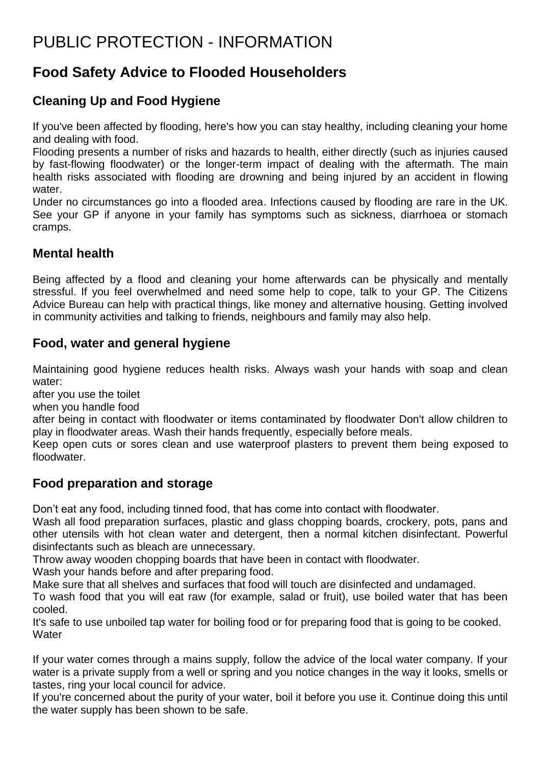# PUBLIC PROTECTION - INFORMATION

## **Food Safety Advice to Flooded Householders**

### **Cleaning Up and Food Hygiene**

If you've been affected by flooding, here's how you can stay healthy, including cleaning your home and dealing with food.

Flooding presents a number of risks and hazards to health, either directly (such as injuries caused by fast-flowing floodwater) or the longer-term impact of dealing with the aftermath. The main health risks associated with flooding are drowning and being injured by an accident in flowing water.

Under no circumstances go into a flooded area. Infections caused by flooding are rare in the UK. See your GP if anyone in your family has symptoms such as sickness, diarrhoea or stomach cramps.

#### **Mental health**

Being affected by a flood and cleaning your home afterwards can be physically and mentally stressful. If you feel overwhelmed and need some help to cope, talk to your GP. The Citizens Advice Bureau can help with practical things, like money and alternative housing. Getting involved in community activities and talking to friends, neighbours and family may also help.

#### **Food, water and general hygiene**

Maintaining good hygiene reduces health risks. Always wash your hands with soap and clean water:

after you use the toilet

when you handle food

after being in contact with floodwater or items contaminated by floodwater Don't allow children to play in floodwater areas. Wash their hands frequently, especially before meals.

Keep open cuts or sores clean and use waterproof plasters to prevent them being exposed to floodwater.

#### **Food preparation and storage**

Don't eat any food, including tinned food, that has come into contact with floodwater.

Wash all food preparation surfaces, plastic and glass chopping boards, crockery, pots, pans and other utensils with hot clean water and detergent, then a normal kitchen disinfectant. Powerful disinfectants such as bleach are unnecessary.

Throw away wooden chopping boards that have been in contact with floodwater.

Wash your hands before and after preparing food.

Make sure that all shelves and surfaces that food will touch are disinfected and undamaged.

To wash food that you will eat raw (for example, salad or fruit), use boiled water that has been cooled.

It's safe to use unboiled tap water for boiling food or for preparing food that is going to be cooked. **Water** 

If your water comes through a mains supply, follow the advice of the local water company. If your water is a private supply from a well or spring and you notice changes in the way it looks, smells or tastes, ring your local council for advice.

If you're concerned about the purity of your water, boil it before you use it. Continue doing this until the water supply has been shown to be safe.